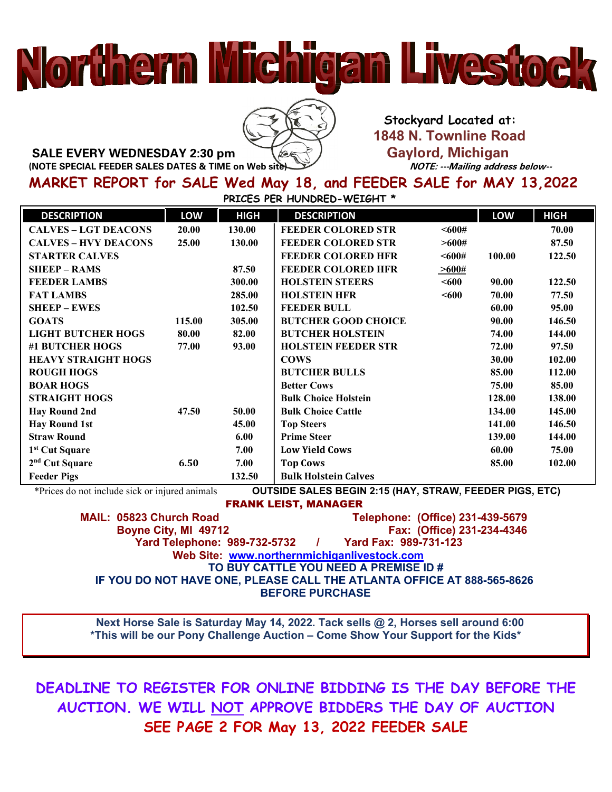## 



 **Stockyard Located at: 1848 N. Townline Road SALE EVERY WEDNESDAY 2:30 pm** Gaylord, Michigan Gaylord, Michigan (NOTE SPECIAL FEEDER SALES DATES & TIME on Web site)<br>*NOTE: ---Mailing address below--*

**MARKET REPORT for SALE Wed May 18, and FEEDER SALE for MAY 13,2022**

**PRICES PER HUNDRED-WEIGHT \***

| <b>DESCRIPTION</b>          | LOW    | <b>HIGH</b> | <b>DESCRIPTION</b>          |                    | LOW    | <b>HIGH</b> |
|-----------------------------|--------|-------------|-----------------------------|--------------------|--------|-------------|
| <b>CALVES - LGT DEACONS</b> | 20.00  | 130.00      | <b>FEEDER COLORED STR</b>   | $600#$             |        | 70.00       |
| <b>CALVES - HVY DEACONS</b> | 25.00  | 130.00      | <b>FEEDER COLORED STR</b>   | >600#              |        | 87.50       |
| <b>STARTER CALVES</b>       |        |             | <b>FEEDER COLORED HFR</b>   | <600#              | 100.00 | 122.50      |
| <b>SHEEP - RAMS</b>         |        | 87.50       | <b>FEEDER COLORED HFR</b>   | $\frac{-600\#}{2}$ |        |             |
| <b>FEEDER LAMBS</b>         |        | 300.00      | <b>HOLSTEIN STEERS</b>      | < 600              | 90.00  | 122.50      |
| <b>FAT LAMBS</b>            |        | 285.00      | <b>HOLSTEIN HFR</b>         | $600$              | 70.00  | 77.50       |
| <b>SHEEP – EWES</b>         |        | 102.50      | <b>FEEDER BULL</b>          |                    | 60.00  | 95.00       |
| <b>GOATS</b>                | 115.00 | 305.00      | <b>BUTCHER GOOD CHOICE</b>  |                    | 90.00  | 146.50      |
| <b>LIGHT BUTCHER HOGS</b>   | 80.00  | 82.00       | <b>BUTCHER HOLSTEIN</b>     |                    | 74.00  | 144.00      |
| #1 BUTCHER HOGS             | 77.00  | 93.00       | <b>HOLSTEIN FEEDER STR</b>  |                    | 72.00  | 97.50       |
| <b>HEAVY STRAIGHT HOGS</b>  |        |             | <b>COWS</b>                 |                    | 30.00  | 102.00      |
| <b>ROUGH HOGS</b>           |        |             | <b>BUTCHER BULLS</b>        |                    | 85.00  | 112.00      |
| <b>BOAR HOGS</b>            |        |             | <b>Better Cows</b>          |                    | 75.00  | 85.00       |
| <b>STRAIGHT HOGS</b>        |        |             | <b>Bulk Choice Holstein</b> |                    | 128.00 | 138.00      |
| <b>Hay Round 2nd</b>        | 47.50  | 50.00       | <b>Bulk Choice Cattle</b>   |                    | 134.00 | 145.00      |
| <b>Hay Round 1st</b>        |        | 45.00       | <b>Top Steers</b>           |                    | 141.00 | 146.50      |
| <b>Straw Round</b>          |        | 6.00        | <b>Prime Steer</b>          |                    | 139.00 | 144.00      |
| 1 <sup>st</sup> Cut Square  |        | 7.00        | <b>Low Yield Cows</b>       |                    | 60.00  | 75.00       |
| $2nd$ Cut Square            | 6.50   | 7.00        | <b>Top Cows</b>             |                    | 85.00  | 102.00      |
| <b>Feeder Pigs</b>          |        | 132.50      | <b>Bulk Holstein Calves</b> |                    |        |             |

\*Prices do not include sick or injured animals **OUTSIDE SALES BEGIN 2:15 (HAY, STRAW, FEEDER PIGS, ETC)**

FRANK LEIST, MANAGER

 **MAIL: 05823 Church Road Telephone: (Office) 231-439-5679 Boyne City, MI 49712 Fax: (Office) 231-234-4346 Yard Telephone: 989-732-5732 Web Site: [www.northernmichiganlivestock.com](http://www.northernmichiganlivestock.com/) TO BUY CATTLE YOU NEED A PREMISE ID # IF YOU DO NOT HAVE ONE, PLEASE CALL THE ATLANTA OFFICE AT 888-565-8626 BEFORE PURCHASE**

 **Next Horse Sale is Saturday May 14, 2022. Tack sells @ 2, Horses sell around 6:00 \*This will be our Pony Challenge Auction – Come Show Your Support for the Kids\***

**DEADLINE TO REGISTER FOR ONLINE BIDDING IS THE DAY BEFORE THE AUCTION. WE WILL NOT APPROVE BIDDERS THE DAY OF AUCTION SEE PAGE 2 FOR May 13, 2022 FEEDER SALE**